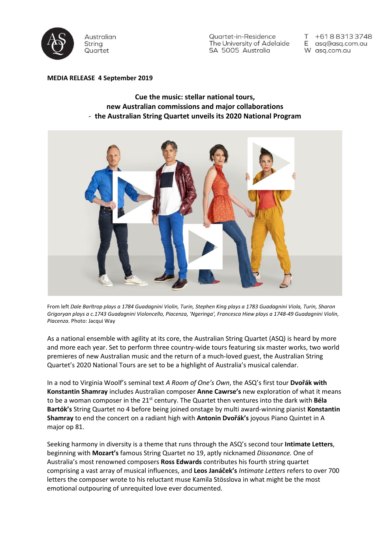

Quartet-in-Residence The University of Adelaide SA 5005 Australia

+61883133748 E asq@asq.com.au W asq.com.au

### **MEDIA RELEASE 4 September 2019**

# **Cue the music: stellar national tours, new Australian commissions and major collaborations** - **the Australian String Quartet unveils its 2020 National Program**



From left Dale Barltrop plays a 1784 Guadagnini Violin, Turin, Stephen King plays a 1783 Guadagnini Viola, Turin, Sharon Grigoryan plays a c.1743 Guadagnini Violoncello, Piacenza, 'Ngeringa', Francesca Hiew plays a 1748-49 Guadagnini Violin, *Piacenza.* Photo: Jacqui Way

As a national ensemble with agility at its core, the Australian String Quartet (ASQ) is heard by more and more each year. Set to perform three country-wide tours featuring six master works, two world premieres of new Australian music and the return of a much-loved guest, the Australian String Quartet's 2020 National Tours are set to be a highlight of Australia's musical calendar.

In a nod to Virginia Woolf's seminal text *A Room of One's Own*, the ASQ's first tour **Dvořák with Konstantin Shamray** includes Australian composer **Anne Cawrse's** new exploration of what it means to be a woman composer in the 21st century. The Quartet then ventures into the dark with **Béla Bartók's** String Quartet no 4 before being joined onstage by multi award-winning pianist **Konstantin Shamray** to end the concert on a radiant high with **Antonin Dvořák's** joyous Piano Quintet in A major op 81.

Seeking harmony in diversity is a theme that runs through the ASQ's second tour **Intimate Letters**, beginning with **Mozart's** famous String Quartet no 19, aptly nicknamed *Dissonance.* One of Australia's most renowned composers **Ross Edwards** contributes his fourth string quartet comprising a vast array of musical influences, and **Leos Janáček's** *Intimate Letters* refers to over 700 letters the composer wrote to his reluctant muse Kamila Stösslova in what might be the most emotional outpouring of unrequited love ever documented.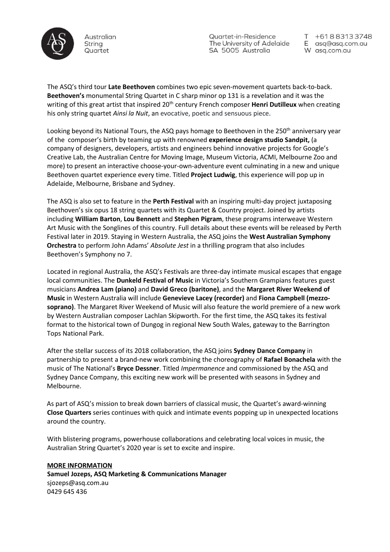

Quartet-in-Residence The University of Adelaide SA 5005 Australia

+61883133748 E asq@asq.com.au W asq.com.au

The ASQ's third tour **Late Beethoven** combines two epic seven-movement quartets back-to-back. **Beethoven's** monumental String Quartet in C sharp minor op 131 is a revelation and it was the writing of this great artist that inspired 20<sup>th</sup> century French composer **Henri Dutilleux** when creating his only string quartet *Ainsi la Nuit*, an evocative, poetic and sensuous piece.

Looking beyond its National Tours, the ASQ pays homage to Beethoven in the 250<sup>th</sup> anniversary year of the composer's birth by teaming up with renowned **experience design studio Sandpit,** (a company of designers, developers, artists and engineers behind innovative projects for Google's Creative Lab, the Australian Centre for Moving Image, Museum Victoria, ACMI, Melbourne Zoo and more) to present an interactive choose-your-own-adventure event culminating in a new and unique Beethoven quartet experience every time. Titled **Project Ludwig**, this experience will pop up in Adelaide, Melbourne, Brisbane and Sydney.

The ASQ is also set to feature in the **Perth Festival** with an inspiring multi-day project juxtaposing Beethoven's six opus 18 string quartets with its Quartet & Country project. Joined by artists including **William Barton**, **Lou Bennett** and **Stephen Pigram**, these programs interweave Western Art Music with the Songlines of this country. Full details about these events will be released by Perth Festival later in 2019. Staying in Western Australia, the ASQ joins the **West Australian Symphony Orchestra** to perform John Adams' *Absolute Jest* in a thrilling program that also includes Beethoven's Symphony no 7.

Located in regional Australia, the ASQ's Festivals are three-day intimate musical escapes that engage local communities. The **Dunkeld Festival of Music** in Victoria's Southern Grampians features guest musicians **Andrea Lam (piano)** and **David Greco (baritone)**, and the **Margaret River Weekend of Music** in Western Australia will include **Genevieve Lacey (recorder)** and **Fiona Campbell (mezzosoprano)**. The Margaret River Weekend of Music will also feature the world premiere of a new work by Western Australian composer Lachlan Skipworth. For the first time, the ASQ takes its festival format to the historical town of Dungog in regional New South Wales, gateway to the Barrington Tops National Park.

After the stellar success of its 2018 collaboration, the ASQ joins **Sydney Dance Company** in partnership to present a brand-new work combining the choreography of **Rafael Bonachela** with the music of The National's **Bryce Dessner**. Titled *Impermanence* and commissioned by the ASQ and Sydney Dance Company, this exciting new work will be presented with seasons in Sydney and Melbourne.

As part of ASQ's mission to break down barriers of classical music, the Quartet's award-winning **Close Quarters** series continues with quick and intimate events popping up in unexpected locations around the country.

With blistering programs, powerhouse collaborations and celebrating local voices in music, the Australian String Quartet's 2020 year is set to excite and inspire.

#### **MORE INFORMATION**

**Samuel Jozeps, ASQ Marketing & Communications Manager** [sjozeps@asq.com.au](mailto:sjozeps@asq.com.au) 0429 645 436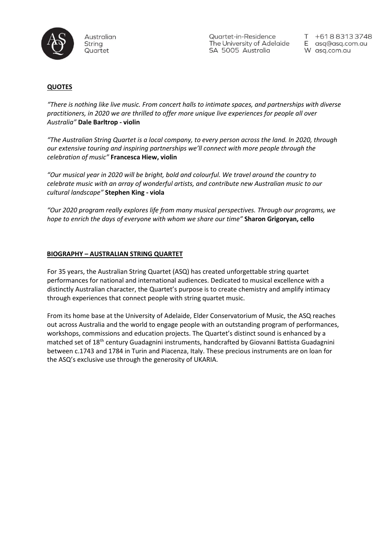

Quartet-in-Residence The University of Adelaide SA 5005 Australia

+61883133748 E asq@asq.com.au W asq.com.au

## **QUOTES**

*"There is nothing like live music. From concert halls to intimate spaces, and partnerships with diverse practitioners, in 2020 we are thrilled to offer more unique live experiences for people all over Australia"* **Dale Barltrop - violin**

*"The Australian String Quartet is a local company, to every person across the land. In 2020, through our extensive touring and inspiring partnerships we'll connect with more people through the celebration of music"* **Francesca Hiew, violin**

*"Our musical year in 2020 will be bright, bold and colourful. We travel around the country to celebrate music with an array of wonderful artists, and contribute new Australian music to our cultural landscape"* **Stephen King - viola**

*"Our 2020 program really explores life from many musical perspectives. Through our programs, we hope to enrich the days of everyone with whom we share our time"* **Sharon Grigoryan, cello**

#### **BIOGRAPHY – AUSTRALIAN STRING QUARTET**

For 35 years, the Australian String Quartet (ASQ) has created unforgettable string quartet performances for national and international audiences. Dedicated to musical excellence with a distinctly Australian character, the Quartet's purpose is to create chemistry and amplify intimacy through experiences that connect people with string quartet music.

From its home base at the University of Adelaide, Elder Conservatorium of Music, the ASQ reaches out across Australia and the world to engage people with an outstanding program of performances, workshops, commissions and education projects. The Quartet's distinct sound is enhanced by a matched set of 18<sup>th</sup> century Guadagnini instruments, handcrafted by Giovanni Battista Guadagnini between c.1743 and 1784 in Turin and Piacenza, Italy. These precious instruments are on loan for the ASQ's exclusive use through the generosity of UKARIA.